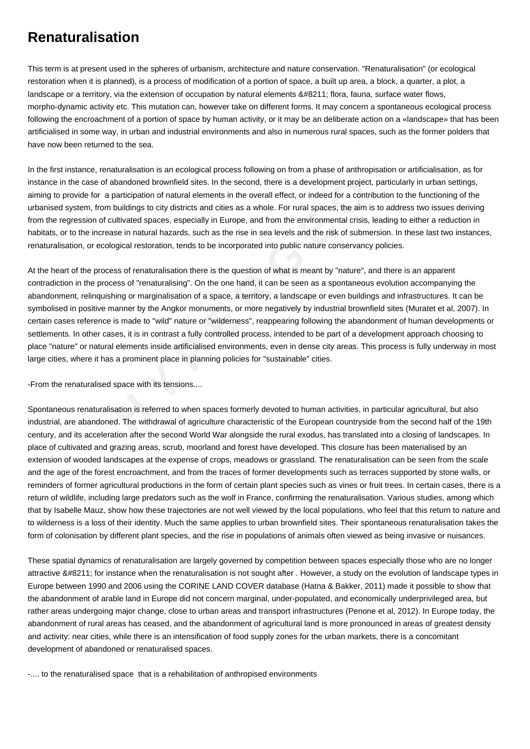## **Renaturalisation**

This term is at present used in the spheres of urbanism, architecture and nature conservation. "Renaturalisation" (or ecological restoration when it is planned), is a process of modification of a portion of space, a built up area, a block, a quarter, a plot, a landscape or a territory, via the extension of occupation by natural elements – flora, fauna, surface water flows, morpho-dynamic activity etc. This mutation can, however take on different forms. It may concern a spontaneous ecological process following the encroachment of a portion of space by human activity, or it may be an deliberate action on a «landscape» that has been artificialised in some way, in urban and industrial environments and also in numerous rural spaces, such as the former polders that have now been returned to the sea.

In the first instance, renaturalisation is an ecological process following on from a phase of anthropisation or artificialisation, as for instance in the case of abandoned brownfield sites. In the second, there is a development project, particularly in urban settings, aiming to provide for a participation of natural elements in the overall effect, or indeed for a contribution to the functioning of the urbanised system, from buildings to city districts and cities as a whole. For rural spaces, the aim is to address two issues deriving from the regression of cultivated spaces, especially in Europe, and from the environmental crisis, leading to either a reduction in habitats, or to the increase in natural hazards, such as the rise in sea levels and the risk of submersion. In these last two instances, renaturalisation, or ecological restoration, tends to be incorporated into public nature conservancy policies.

ise of abandoned brownfield sites. In the second, there is a development project, partic for a participation of natural elements in the overall effect, or indeed for a contribution on of cultivated spaces, especially in Eu At the heart of the process of renaturalisation there is the question of what is meant by "nature", and there is an apparent contradiction in the process of "renaturalising". On the one hand, it can be seen as a spontaneous evolution accompanying the abandonment, relinquishing or marginalisation of a space, a territory, a landscape or even buildings and infrastructures. It can be symbolised in positive manner by the Angkor monuments, or more negatively by industrial brownfield sites (Muratet et al, 2007). In certain cases reference is made to "wild" nature or "wilderness", reappearing following the abandonment of human developments or settlements. In other cases, it is in contrast a fully controlled process, intended to be part of a development approach choosing to place "nature" or natural elements inside artificialised environments, even in dense city areas. This process is fully underway in most large cities, where it has a prominent place in planning policies for "sustainable" cities.

-From the renaturalised space with its tensions....

Spontaneous renaturalisation is referred to when spaces formerly devoted to human activities, in particular agricultural, but also industrial, are abandoned. The withdrawal of agriculture characteristic of the European countryside from the second half of the 19th century, and its acceleration after the second World War alongside the rural exodus, has translated into a closing of landscapes. In place of cultivated and grazing areas, scrub, moorland and forest have developed. This closure has been materialised by an extension of wooded landscapes at the expense of crops, meadows or grassland. The renaturalisation can be seen from the scale and the age of the forest encroachment, and from the traces of former developments such as terraces supported by stone walls, or reminders of former agricultural productions in the form of certain plant species such as vines or fruit trees. In certain cases, there is a return of wildlife, including large predators such as the wolf in France, confirming the renaturalisation. Various studies, among which that by Isabelle Mauz, show how these trajectories are not well viewed by the local populations, who feel that this return to nature and to wilderness is a loss of their identity. Much the same applies to urban brownfield sites. Their spontaneous renaturalisation takes the form of colonisation by different plant species, and the rise in populations of animals often viewed as being invasive or nuisances.

These spatial dynamics of renaturalisation are largely governed by competition between spaces especially those who are no longer attractive – for instance when the renaturalisation is not sought after . However, a study on the evolution of landscape types in Europe between 1990 and 2006 using the CORINE LAND COVER database (Hatna & Bakker, 2011) made it possible to show that the abandonment of arable land in Europe did not concern marginal, under-populated, and economically underprivileged area, but rather areas undergoing major change, close to urban areas and transport infrastructures (Penone et al, 2012). In Europe today, the abandonment of rural areas has ceased, and the abandonment of agricultural land is more pronounced in areas of greatest density and activity: near cities, while there is an intensification of food supply zones for the urban markets, there is a concomitant development of abandoned or renaturalised spaces.

-.... to the renaturalised space that is a rehabilitation of anthropised environments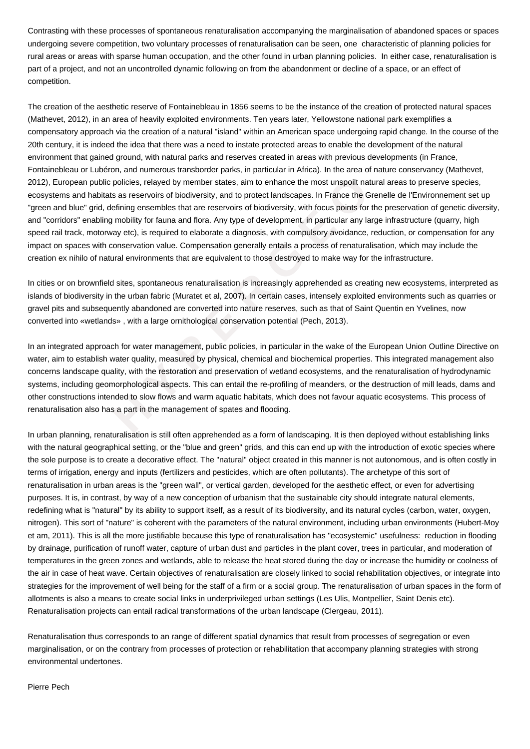Contrasting with these processes of spontaneous renaturalisation accompanying the marginalisation of abandoned spaces or spaces undergoing severe competition, two voluntary processes of renaturalisation can be seen, one characteristic of planning policies for rural areas or areas with sparse human occupation, and the other found in urban planning policies. In either case, renaturalisation is part of a project, and not an uncontrolled dynamic following on from the abandonment or decline of a space, or an effect of competition.

public policies, relayed by member states, aim to enhance the most unspoilt natural<br>abitats as reservoirs of biodiversity, and to protect landscapes. In France the Gren<br>grid, defining ensembles that are reservoirs of biodi The creation of the aesthetic reserve of Fontainebleau in 1856 seems to be the instance of the creation of protected natural spaces (Mathevet, 2012), in an area of heavily exploited environments. Ten years later, Yellowstone national park exemplifies a compensatory approach via the creation of a natural "island" within an American space undergoing rapid change. In the course of the 20th century, it is indeed the idea that there was a need to instate protected areas to enable the development of the natural environment that gained ground, with natural parks and reserves created in areas with previous developments (in France, Fontainebleau or Lubéron, and numerous transborder parks, in particular in Africa). In the area of nature conservancy (Mathevet, 2012), European public policies, relayed by member states, aim to enhance the most unspoilt natural areas to preserve species, ecosystems and habitats as reservoirs of biodiversity, and to protect landscapes. In France the Grenelle de l'Environnement set up "green and blue" grid, defining ensembles that are reservoirs of biodiversity, with focus points for the preservation of genetic diversity, and "corridors" enabling mobility for fauna and flora. Any type of development, in particular any large infrastructure (quarry, high speed rail track, motorway etc), is required to elaborate a diagnosis, with compulsory avoidance, reduction, or compensation for any impact on spaces with conservation value. Compensation generally entails a process of renaturalisation, which may include the creation ex nihilo of natural environments that are equivalent to those destroyed to make way for the infrastructure.

In cities or on brownfield sites, spontaneous renaturalisation is increasingly apprehended as creating new ecosystems, interpreted as islands of biodiversity in the urban fabric (Muratet et al, 2007). In certain cases, intensely exploited environments such as quarries or gravel pits and subsequently abandoned are converted into nature reserves, such as that of Saint Quentin en Yvelines, now converted into «wetlands» , with a large ornithological conservation potential (Pech, 2013).

In an integrated approach for water management, public policies, in particular in the wake of the European Union Outline Directive on water, aim to establish water quality, measured by physical, chemical and biochemical properties. This integrated management also concerns landscape quality, with the restoration and preservation of wetland ecosystems, and the renaturalisation of hydrodynamic systems, including geomorphological aspects. This can entail the re-profiling of meanders, or the destruction of mill leads, dams and other constructions intended to slow flows and warm aquatic habitats, which does not favour aquatic ecosystems. This process of renaturalisation also has a part in the management of spates and flooding.

In urban planning, renaturalisation is still often apprehended as a form of landscaping. It is then deployed without establishing links with the natural geographical setting, or the "blue and green" grids, and this can end up with the introduction of exotic species where the sole purpose is to create a decorative effect. The "natural" object created in this manner is not autonomous, and is often costly in terms of irrigation, energy and inputs (fertilizers and pesticides, which are often pollutants). The archetype of this sort of renaturalisation in urban areas is the "green wall", or vertical garden, developed for the aesthetic effect, or even for advertising purposes. It is, in contrast, by way of a new conception of urbanism that the sustainable city should integrate natural elements, redefining what is "natural" by its ability to support itself, as a result of its biodiversity, and its natural cycles (carbon, water, oxygen, nitrogen). This sort of "nature" is coherent with the parameters of the natural environment, including urban environments (Hubert-Moy et am, 2011). This is all the more justifiable because this type of renaturalisation has "ecosystemic" usefulness: reduction in flooding by drainage, purification of runoff water, capture of urban dust and particles in the plant cover, trees in particular, and moderation of temperatures in the green zones and wetlands, able to release the heat stored during the day or increase the humidity or coolness of the air in case of heat wave. Certain objectives of renaturalisation are closely linked to social rehabilitation objectives, or integrate into strategies for the improvement of well being for the staff of a firm or a social group. The renaturalisation of urban spaces in the form of allotments is also a means to create social links in underprivileged urban settings (Les Ulis, Montpellier, Saint Denis etc). Renaturalisation projects can entail radical transformations of the urban landscape (Clergeau, 2011).

Renaturalisation thus corresponds to an range of different spatial dynamics that result from processes of segregation or even marginalisation, or on the contrary from processes of protection or rehabilitation that accompany planning strategies with strong environmental undertones.

Pierre Pech